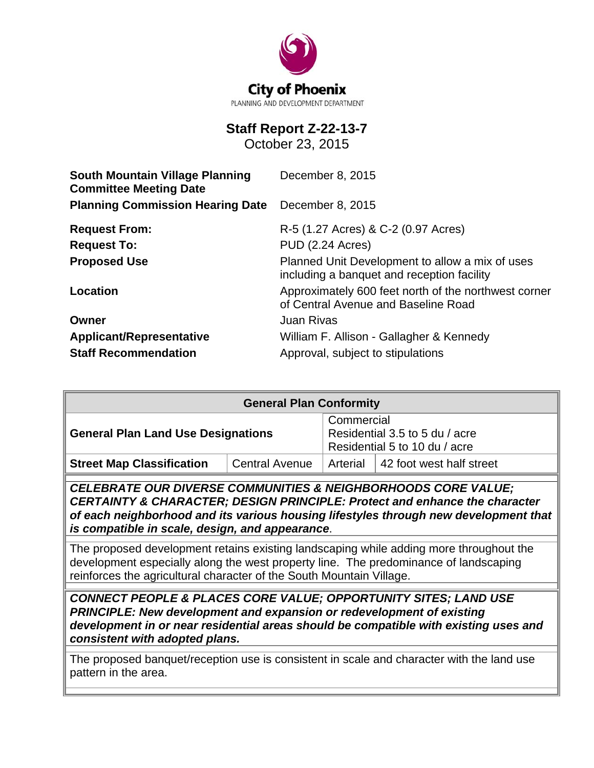

# **Staff Report Z-22-13-7**

October 23, 2015

| <b>South Mountain Village Planning</b><br><b>Committee Meeting Date</b> | December 8, 2015                                                                              |  |  |
|-------------------------------------------------------------------------|-----------------------------------------------------------------------------------------------|--|--|
| <b>Planning Commission Hearing Date</b>                                 | December 8, 2015                                                                              |  |  |
| <b>Request From:</b>                                                    | R-5 (1.27 Acres) & C-2 (0.97 Acres)                                                           |  |  |
| <b>Request To:</b>                                                      | PUD (2.24 Acres)                                                                              |  |  |
| <b>Proposed Use</b>                                                     | Planned Unit Development to allow a mix of uses<br>including a banquet and reception facility |  |  |
| Location                                                                | Approximately 600 feet north of the northwest corner<br>of Central Avenue and Baseline Road   |  |  |
| Owner                                                                   | <b>Juan Rivas</b>                                                                             |  |  |
| <b>Applicant/Representative</b>                                         | William F. Allison - Gallagher & Kennedy                                                      |  |  |
| <b>Staff Recommendation</b>                                             | Approval, subject to stipulations                                                             |  |  |

| <b>General Plan Conformity</b>            |                       |                                                                               |                                           |  |
|-------------------------------------------|-----------------------|-------------------------------------------------------------------------------|-------------------------------------------|--|
| <b>General Plan Land Use Designations</b> |                       | Commercial<br>Residential 3.5 to 5 du / acre<br>Residential 5 to 10 du / acre |                                           |  |
| <b>Street Map Classification</b>          | <b>Central Avenue</b> |                                                                               | Arterial $\vert$ 42 foot west half street |  |

*CELEBRATE OUR DIVERSE COMMUNITIES & NEIGHBORHOODS CORE VALUE; CERTAINTY & CHARACTER; DESIGN PRINCIPLE: Protect and enhance the character of each neighborhood and its various housing lifestyles through new development that is compatible in scale, design, and appearance*.

The proposed development retains existing landscaping while adding more throughout the development especially along the west property line. The predominance of landscaping reinforces the agricultural character of the South Mountain Village.

*CONNECT PEOPLE & PLACES CORE VALUE; OPPORTUNITY SITES; LAND USE PRINCIPLE: New development and expansion or redevelopment of existing development in or near residential areas should be compatible with existing uses and consistent with adopted plans.* 

The proposed banquet/reception use is consistent in scale and character with the land use pattern in the area.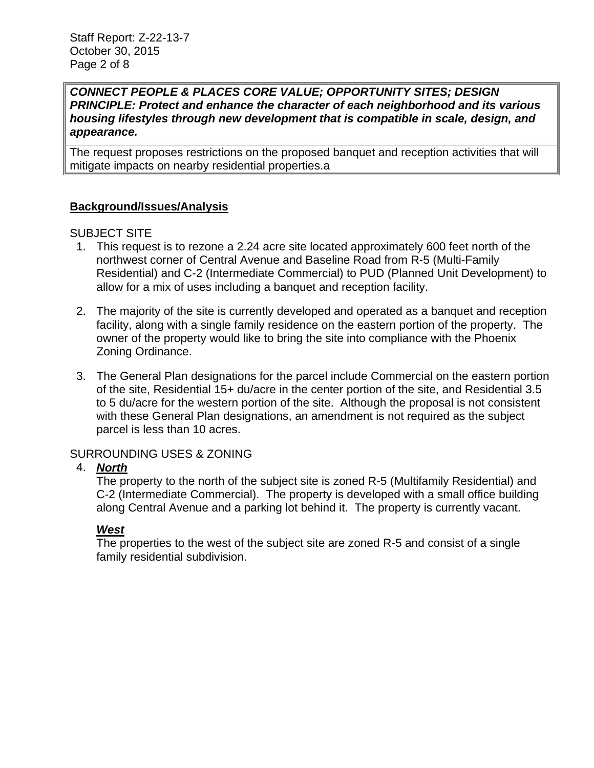#### *CONNECT PEOPLE & PLACES CORE VALUE; OPPORTUNITY SITES; DESIGN PRINCIPLE: Protect and enhance the character of each neighborhood and its various housing lifestyles through new development that is compatible in scale, design, and appearance.*

The request proposes restrictions on the proposed banquet and reception activities that will mitigate impacts on nearby residential properties.a

## **Background/Issues/Analysis**

#### SUBJECT SITE

- 1. This request is to rezone a 2.24 acre site located approximately 600 feet north of the northwest corner of Central Avenue and Baseline Road from R-5 (Multi-Family Residential) and C-2 (Intermediate Commercial) to PUD (Planned Unit Development) to allow for a mix of uses including a banquet and reception facility.
- 2. The majority of the site is currently developed and operated as a banquet and reception facility, along with a single family residence on the eastern portion of the property. The owner of the property would like to bring the site into compliance with the Phoenix Zoning Ordinance.
- 3. The General Plan designations for the parcel include Commercial on the eastern portion of the site, Residential 15+ du/acre in the center portion of the site, and Residential 3.5 to 5 du/acre for the western portion of the site. Although the proposal is not consistent with these General Plan designations, an amendment is not required as the subject parcel is less than 10 acres.

#### SURROUNDING USES & ZONING

#### 4. *North*

The property to the north of the subject site is zoned R-5 (Multifamily Residential) and C-2 (Intermediate Commercial). The property is developed with a small office building along Central Avenue and a parking lot behind it. The property is currently vacant.

#### *West*

The properties to the west of the subject site are zoned R-5 and consist of a single family residential subdivision.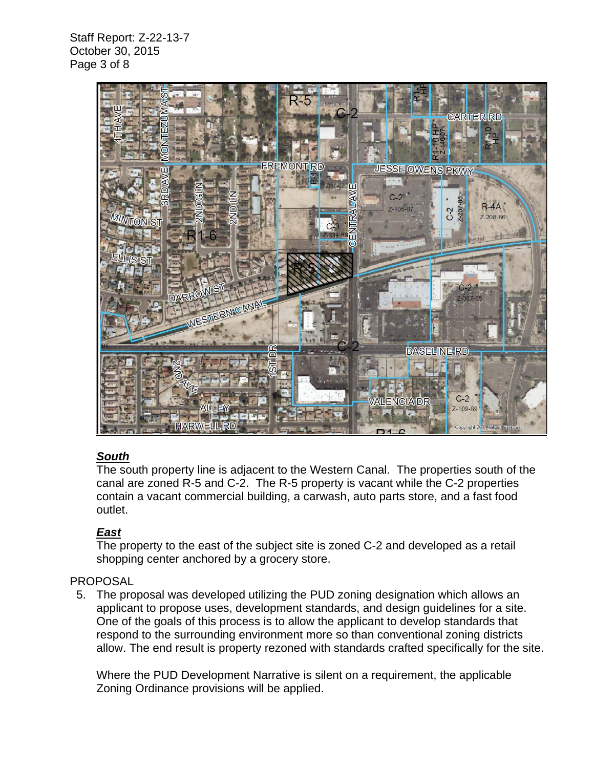Staff Report: Z-22-13-7 October 30, 2015 Page 3 of 8



## *South*

The south property line is adjacent to the Western Canal. The properties south of the canal are zoned R-5 and C-2. The R-5 property is vacant while the C-2 properties contain a vacant commercial building, a carwash, auto parts store, and a fast food outlet.

## *East*

The property to the east of the subject site is zoned C-2 and developed as a retail shopping center anchored by a grocery store.

## PROPOSAL

 5. The proposal was developed utilizing the PUD zoning designation which allows an applicant to propose uses, development standards, and design guidelines for a site. One of the goals of this process is to allow the applicant to develop standards that respond to the surrounding environment more so than conventional zoning districts allow. The end result is property rezoned with standards crafted specifically for the site.

Where the PUD Development Narrative is silent on a requirement, the applicable Zoning Ordinance provisions will be applied.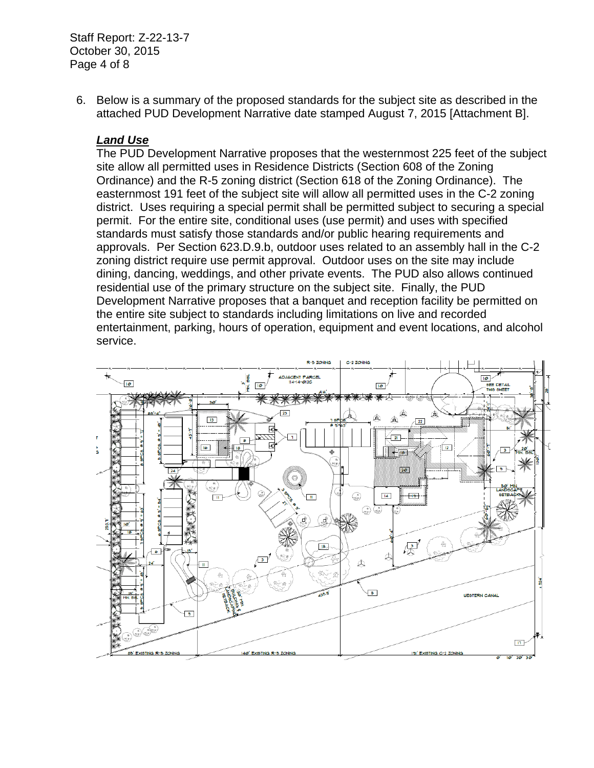Staff Report: Z-22-13-7 October 30, 2015 Page 4 of 8

 6. Below is a summary of the proposed standards for the subject site as described in the attached PUD Development Narrative date stamped August 7, 2015 [Attachment B].

## *Land Use*

The PUD Development Narrative proposes that the westernmost 225 feet of the subject site allow all permitted uses in Residence Districts (Section 608 of the Zoning Ordinance) and the R-5 zoning district (Section 618 of the Zoning Ordinance). The easternmost 191 feet of the subject site will allow all permitted uses in the C-2 zoning district. Uses requiring a special permit shall be permitted subject to securing a special permit. For the entire site, conditional uses (use permit) and uses with specified standards must satisfy those standards and/or public hearing requirements and approvals. Per Section 623.D.9.b, outdoor uses related to an assembly hall in the C-2 zoning district require use permit approval. Outdoor uses on the site may include dining, dancing, weddings, and other private events. The PUD also allows continued residential use of the primary structure on the subject site. Finally, the PUD Development Narrative proposes that a banquet and reception facility be permitted on the entire site subject to standards including limitations on live and recorded entertainment, parking, hours of operation, equipment and event locations, and alcohol service.

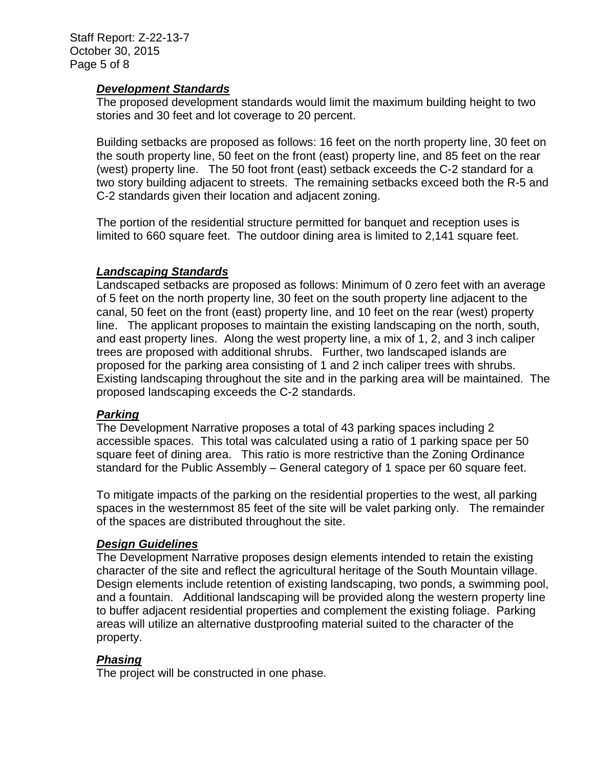#### *Development Standards*

The proposed development standards would limit the maximum building height to two stories and 30 feet and lot coverage to 20 percent.

Building setbacks are proposed as follows: 16 feet on the north property line, 30 feet on the south property line, 50 feet on the front (east) property line, and 85 feet on the rear (west) property line. The 50 foot front (east) setback exceeds the C-2 standard for a two story building adjacent to streets. The remaining setbacks exceed both the R-5 and C-2 standards given their location and adjacent zoning.

The portion of the residential structure permitted for banquet and reception uses is limited to 660 square feet. The outdoor dining area is limited to 2,141 square feet.

## *Landscaping Standards*

Landscaped setbacks are proposed as follows: Minimum of 0 zero feet with an average of 5 feet on the north property line, 30 feet on the south property line adjacent to the canal, 50 feet on the front (east) property line, and 10 feet on the rear (west) property line. The applicant proposes to maintain the existing landscaping on the north, south, and east property lines. Along the west property line, a mix of 1, 2, and 3 inch caliper trees are proposed with additional shrubs. Further, two landscaped islands are proposed for the parking area consisting of 1 and 2 inch caliper trees with shrubs. Existing landscaping throughout the site and in the parking area will be maintained. The proposed landscaping exceeds the C-2 standards.

#### *Parking*

The Development Narrative proposes a total of 43 parking spaces including 2 accessible spaces. This total was calculated using a ratio of 1 parking space per 50 square feet of dining area. This ratio is more restrictive than the Zoning Ordinance standard for the Public Assembly – General category of 1 space per 60 square feet.

To mitigate impacts of the parking on the residential properties to the west, all parking spaces in the westernmost 85 feet of the site will be valet parking only. The remainder of the spaces are distributed throughout the site.

#### *Design Guidelines*

The Development Narrative proposes design elements intended to retain the existing character of the site and reflect the agricultural heritage of the South Mountain village. Design elements include retention of existing landscaping, two ponds, a swimming pool, and a fountain. Additional landscaping will be provided along the western property line to buffer adjacent residential properties and complement the existing foliage. Parking areas will utilize an alternative dustproofing material suited to the character of the property.

## *Phasing*

The project will be constructed in one phase.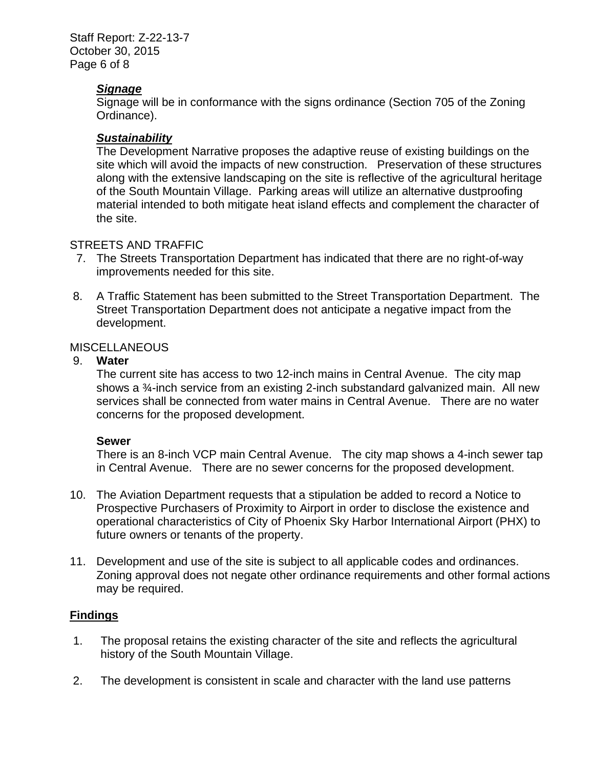Staff Report: Z-22-13-7 October 30, 2015 Page 6 of 8

#### *Signage*

Signage will be in conformance with the signs ordinance (Section 705 of the Zoning Ordinance).

#### *Sustainability*

The Development Narrative proposes the adaptive reuse of existing buildings on the site which will avoid the impacts of new construction. Preservation of these structures along with the extensive landscaping on the site is reflective of the agricultural heritage of the South Mountain Village. Parking areas will utilize an alternative dustproofing material intended to both mitigate heat island effects and complement the character of the site.

#### STREETS AND TRAFFIC

- 7. The Streets Transportation Department has indicated that there are no right-of-way improvements needed for this site.
- 8. A Traffic Statement has been submitted to the Street Transportation Department. The Street Transportation Department does not anticipate a negative impact from the development.

#### MISCELLANEOUS

#### 9. **Water**

The current site has access to two 12-inch mains in Central Avenue. The city map shows a ¾-inch service from an existing 2-inch substandard galvanized main. All new services shall be connected from water mains in Central Avenue. There are no water concerns for the proposed development.

#### **Sewer**

There is an 8-inch VCP main Central Avenue. The city map shows a 4-inch sewer tap in Central Avenue. There are no sewer concerns for the proposed development.

- 10. The Aviation Department requests that a stipulation be added to record a Notice to Prospective Purchasers of Proximity to Airport in order to disclose the existence and operational characteristics of City of Phoenix Sky Harbor International Airport (PHX) to future owners or tenants of the property.
- 11. Development and use of the site is subject to all applicable codes and ordinances. Zoning approval does not negate other ordinance requirements and other formal actions may be required.

#### **Findings**

- 1. The proposal retains the existing character of the site and reflects the agricultural history of the South Mountain Village.
- 2. The development is consistent in scale and character with the land use patterns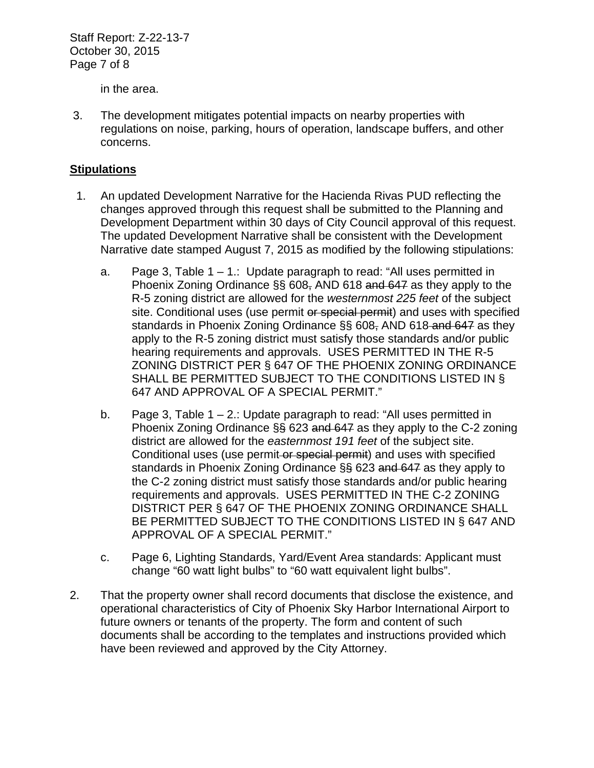Staff Report: Z-22-13-7 October 30, 2015 Page 7 of 8

in the area.

 3. The development mitigates potential impacts on nearby properties with regulations on noise, parking, hours of operation, landscape buffers, and other concerns.

#### **Stipulations**

- 1. An updated Development Narrative for the Hacienda Rivas PUD reflecting the changes approved through this request shall be submitted to the Planning and Development Department within 30 days of City Council approval of this request. The updated Development Narrative shall be consistent with the Development Narrative date stamped August 7, 2015 as modified by the following stipulations:
	- a. Page 3, Table 1 1.: Update paragraph to read: "All uses permitted in Phoenix Zoning Ordinance §§ 608, AND 618 and 647 as they apply to the R-5 zoning district are allowed for the *westernmost 225 feet* of the subject site. Conditional uses (use permit or special permit) and uses with specified standards in Phoenix Zoning Ordinance §§ 608, AND 618 and 647 as they apply to the R-5 zoning district must satisfy those standards and/or public hearing requirements and approvals. USES PERMITTED IN THE R-5 ZONING DISTRICT PER § 647 OF THE PHOENIX ZONING ORDINANCE SHALL BE PERMITTED SUBJECT TO THE CONDITIONS LISTED IN § 647 AND APPROVAL OF A SPECIAL PERMIT."
	- b. Page 3, Table  $1 2$ .: Update paragraph to read: "All uses permitted in Phoenix Zoning Ordinance §§ 623 and 647 as they apply to the C-2 zoning district are allowed for the *easternmost 191 feet* of the subject site. Conditional uses (use permit-or special permit) and uses with specified standards in Phoenix Zoning Ordinance §§ 623 and 647 as they apply to the C-2 zoning district must satisfy those standards and/or public hearing requirements and approvals. USES PERMITTED IN THE C-2 ZONING DISTRICT PER § 647 OF THE PHOENIX ZONING ORDINANCE SHALL BE PERMITTED SUBJECT TO THE CONDITIONS LISTED IN § 647 AND APPROVAL OF A SPECIAL PERMIT."
	- c. Page 6, Lighting Standards, Yard/Event Area standards: Applicant must change "60 watt light bulbs" to "60 watt equivalent light bulbs".
- 2. That the property owner shall record documents that disclose the existence, and operational characteristics of City of Phoenix Sky Harbor International Airport to future owners or tenants of the property. The form and content of such documents shall be according to the templates and instructions provided which have been reviewed and approved by the City Attorney.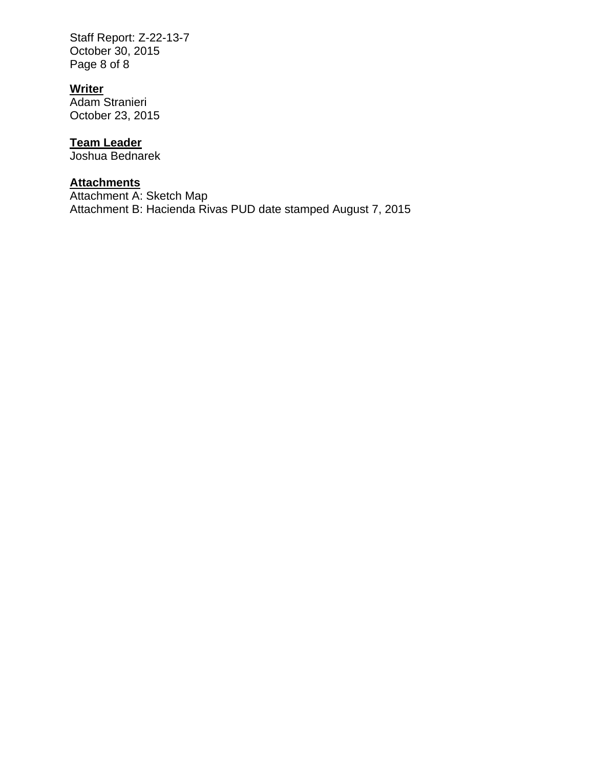Staff Report: Z-22-13-7 October 30, 2015 Page 8 of 8

## **Writer**

Adam Stranieri October 23, 2015

## **Team Leader**

Joshua Bednarek

# **Attachments**

Attachment A: Sketch Map Attachment B: Hacienda Rivas PUD date stamped August 7, 2015